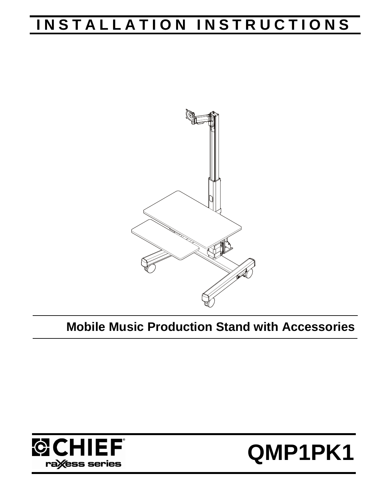# **INSTALLATION INSTRUCTIONS**



## **Mobile Music Production Stand with Accessories**



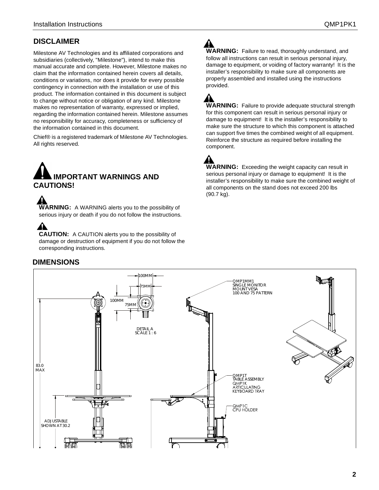### **DISCLAIMER**

Milestone AV Technologies and its affiliated corporations and subsidiaries (collectively, "Milestone"), intend to make this manual accurate and complete. However, Milestone makes no claim that the information contained herein covers all details, conditions or variations, nor does it provide for every possible contingency in connection with the installation or use of this product. The information contained in this document is subject to change without notice or obligation of any kind. Milestone makes no representation of warranty, expressed or implied, regarding the information contained herein. Milestone assumes no responsibility for accuracy, completeness or sufficiency of the information contained in this document.

Chief® is a registered trademark of Milestone AV Technologies. All rights reserved.



**WARNING:** A WARNING alerts you to the possibility of serious injury or death if you do not follow the instructions.

### A

**CAUTION:** A CAUTION alerts you to the possibility of damage or destruction of equipment if you do not follow the corresponding instructions.

#### **DIMENSIONS**

**WARNING:** Failure to read, thoroughly understand, and follow all instructions can result in serious personal injury, damage to equipment, or voiding of factory warranty! It is the installer's responsibility to make sure all components are properly assembled and installed using the instructions provided.

A **WARNING:** Failure to provide adequate structural strength for this component can result in serious personal injury or damage to equipment! It is the installer's responsibility to make sure the structure to which this component is attached can support five times the combined weight of all equipment. Reinforce the structure as required before installing the component.

**WARNING:** Exceeding the weight capacity can result in serious personal injury or damage to equipment! It is the installer's responsibility to make sure the combined weight of all components on the stand does not exceed 200 lbs (90.7 kg).

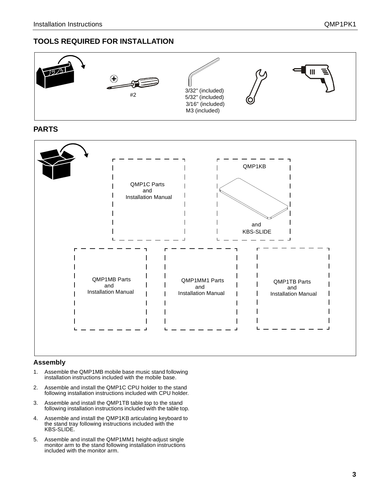#### **TOOLS REQUIRED FOR INSTALLATION**



**PARTS**



#### **Assembly**

- 1. Assemble the QMP1MB mobile base music stand following installation instructions included with the mobile base.
- 2. Assemble and install the QMP1C CPU holder to the stand following installation instructions included with CPU holder.
- 3. Assemble and install the QMP1TB table top to the stand following installation instructions included with the table top.
- 4. Assemble and install the QMP1KB articulating keyboard to the stand tray following instructions included with the KBS-SLIDE.
- 5. Assemble and install the QMP1MM1 height-adjust single monitor arm to the stand following installation instructions included with the monitor arm.